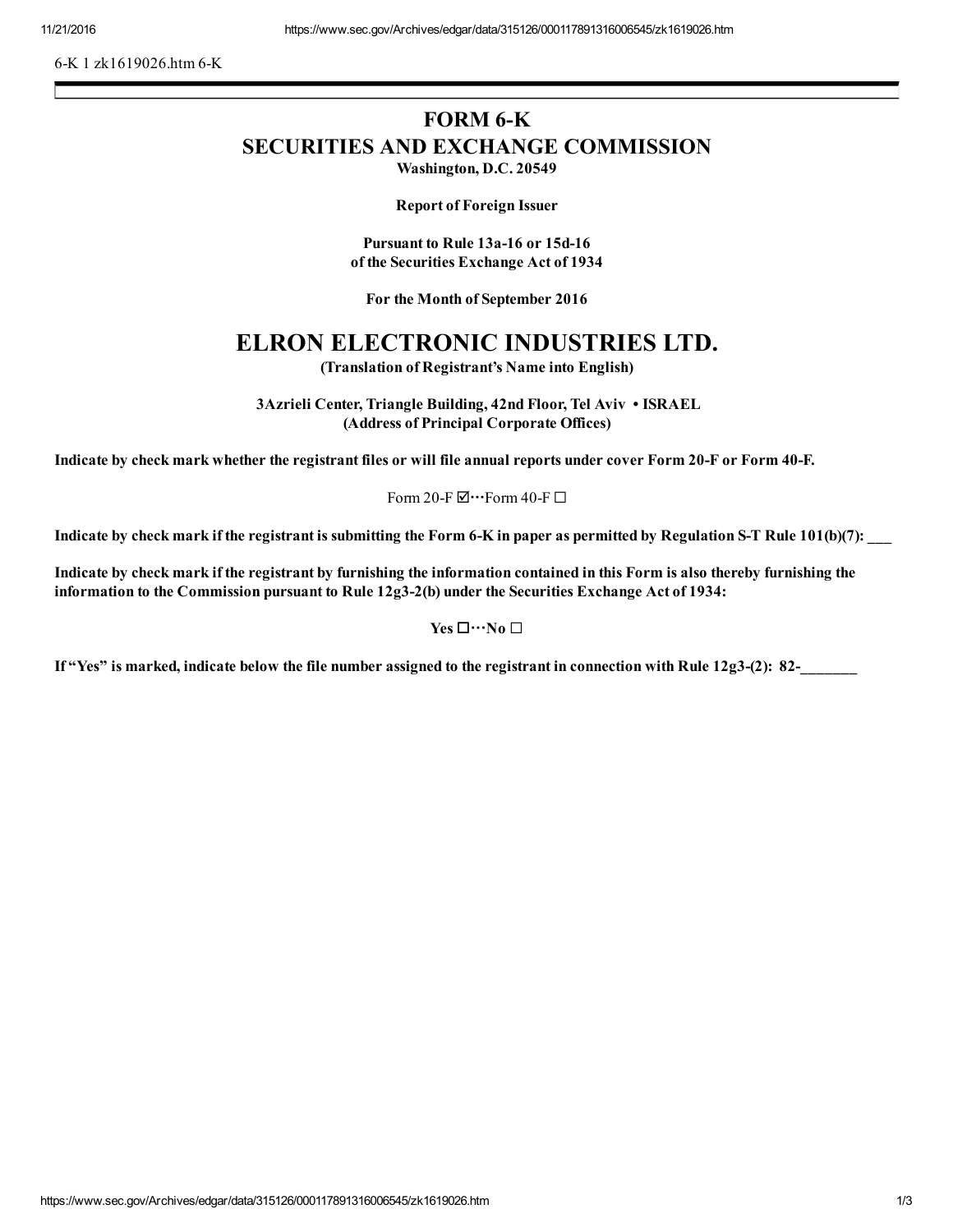6-K 1 zk1619026.htm 6-K

## FORM 6-K SECURITIES AND EXCHANGE COMMISSION

Washington, D.C. 20549

Report of Foreign Issuer

Pursuant to Rule 13a-16 or 15d-16 of the Securities Exchange Act of 1934

For the Month of September 2016

## ELRON ELECTRONIC INDUSTRIES LTD.

(Translation of Registrant's Name into English)

3Azrieli Center, Triangle Building, 42nd Floor, Tel Aviv • ISRAEL (Address of Principal Corporate Offices)

Indicate by check mark whether the registrant files or will file annual reports under cover Form 20-F or Form 40-F.

Form 20-F $\boxdot$  •• Form 40-F $\Box$ 

Indicate by check mark if the registrant is submitting the Form 6-K in paper as permitted by Regulation S-T Rule  $101(b)(7)$ :

Indicate by check mark if the registrant by furnishing the information contained in this Form is also thereby furnishing the information to the Commission pursuant to Rule 12g3-2(b) under the Securities Exchange Act of 1934:

Yes  $\Box \cdots$ No  $\Box$ 

If "Yes" is marked, indicate below the file number assigned to the registrant in connection with Rule 12g3-(2): 82-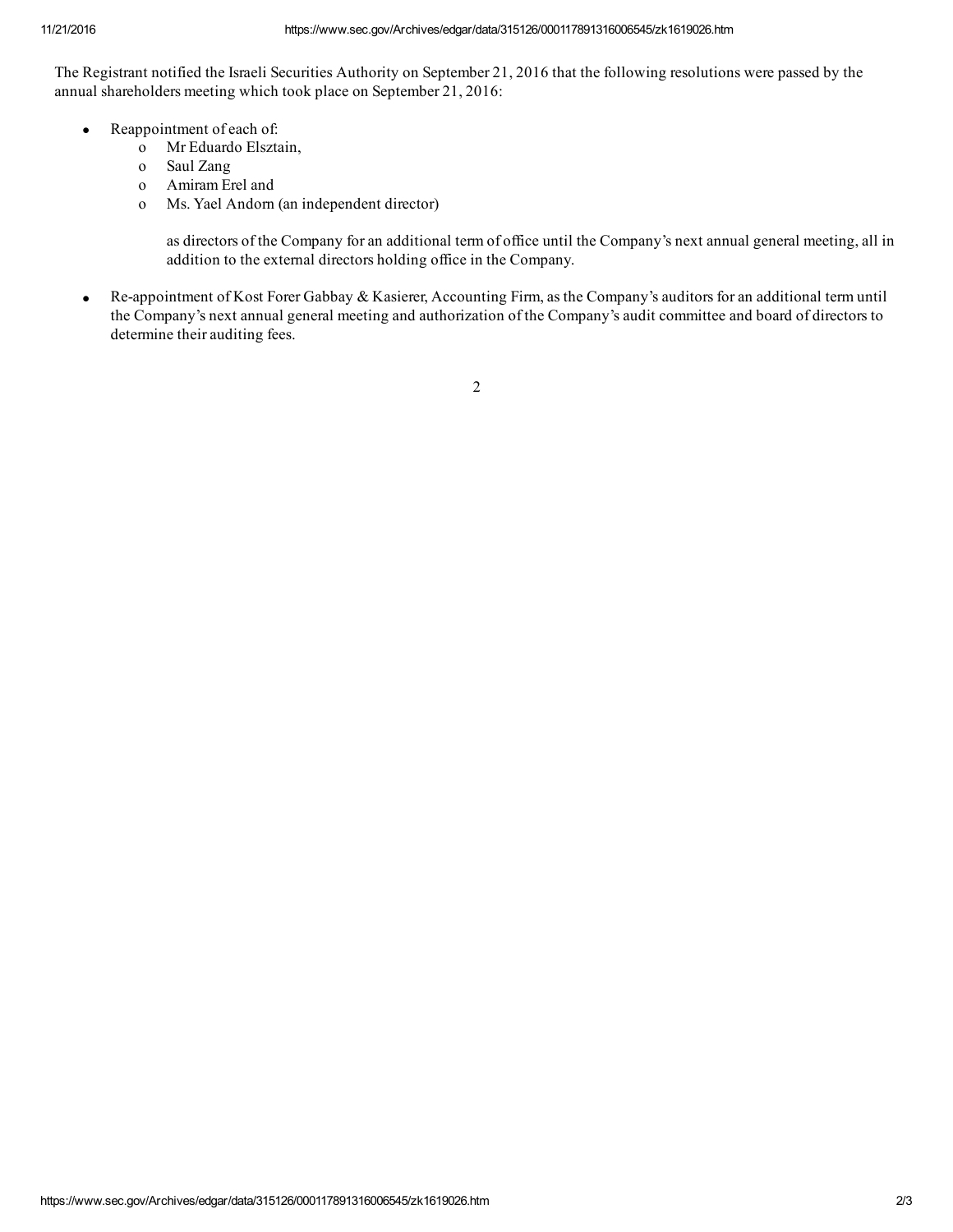The Registrant notified the Israeli Securities Authority on September 21, 2016 that the following resolutions were passed by the annual shareholders meeting which took place on September 21, 2016:

- Reappointment of each of:
	- o Mr Eduardo Elsztain,
	- o Saul Zang
	- o Amiram Erel and
	- o Ms. Yael Andorn (an independent director)

as directors of the Company for an additional term of office until the Company's next annual general meeting, all in addition to the external directors holding office in the Company.

Re-appointment of Kost Forer Gabbay & Kasierer, Accounting Firm, as the Company's auditors for an additional term until the Company's next annual general meeting and authorization of the Company's audit committee and board of directors to determine their auditing fees.

2